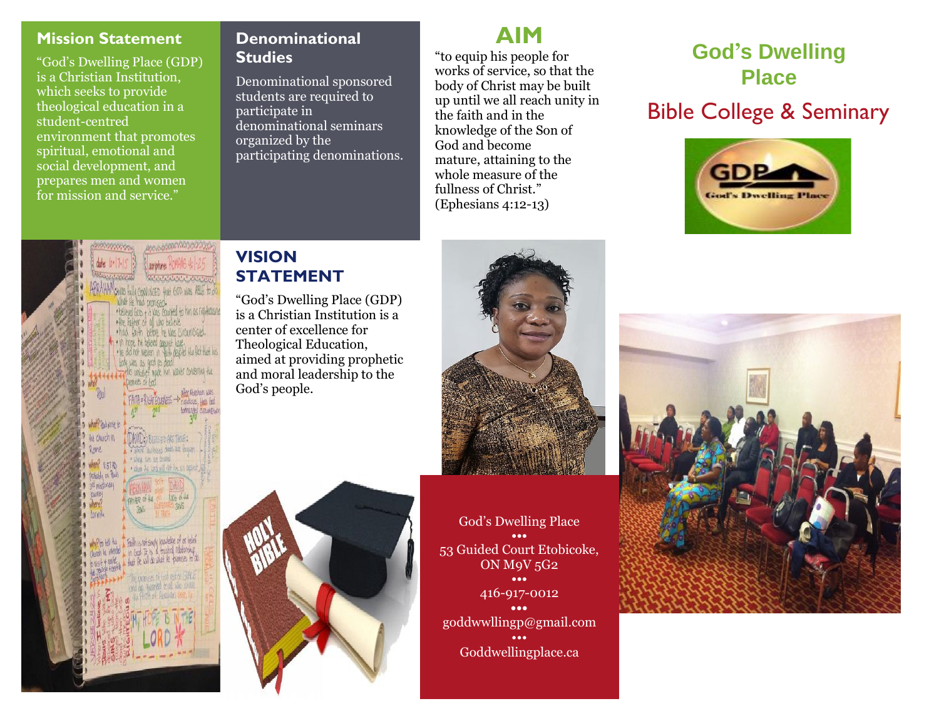## **Mission Statement**

"God's Dwelling Place (GDP) is a Christian Institution, which seeks to provide theological education in a student-centred environment that promotes spiritual, emotional and social development, and prepares men and women for mission and service."

### **Denominational Studies**

Denominational sponsored students are required to participate in denominational seminars organized by the participating denominations.

# **AIM**

"to equip his people for works of service, so that the body of Christ may be built up until we all reach unity in the faith and in the knowledge of the Son of God and become mature, attaining to the whole measure of the fullness of Christ." (Ephesians 4:12-13)

# **God's Dwelling Place**

# Bible College & Seminary





## **VISION STATEMENT**

"God's Dwelling Place (GDP) is a Christian Institution is a center of excellence for Theological Education, aimed at providing prophetic and moral leadership to the God's people.



God's Dwelling Place **•••** 53 Guided Court Etobicoke, ON M9V 5G2 **•••** 416-917-0012 **•••** goddwwllingp@gmail.com ••• Goddwellingplace.ca

l